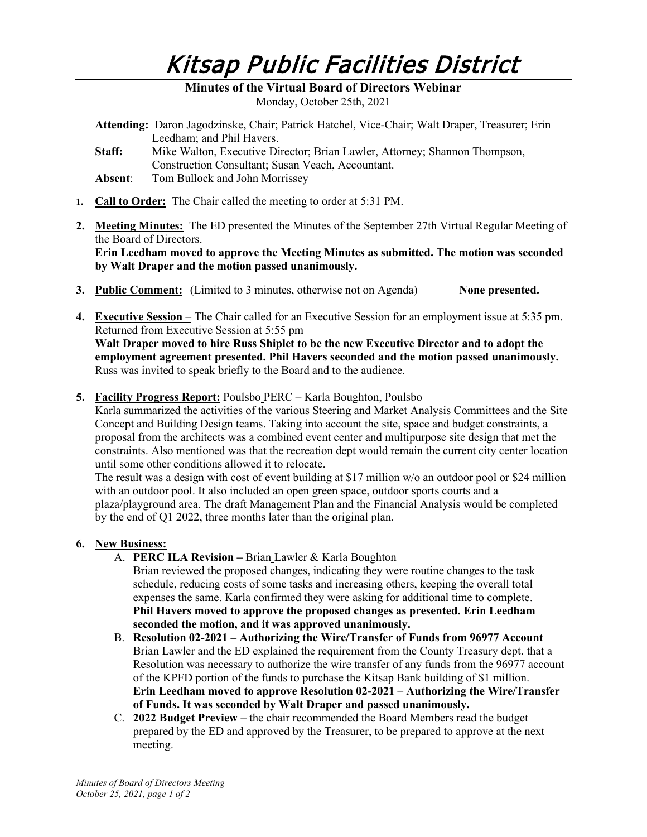# Kitsap Public Facilities District

### **Minutes of the Virtual Board of Directors Webinar**  Monday, October 25th, 2021

- **Attending:** Daron Jagodzinske, Chair; Patrick Hatchel, Vice-Chair; Walt Draper, Treasurer; Erin Leedham; and Phil Havers.
- **Staff:** Mike Walton, Executive Director; Brian Lawler, Attorney; Shannon Thompson, Construction Consultant; Susan Veach, Accountant.
- **Absent**: Tom Bullock and John Morrissey
- **1. Call to Order:** The Chair called the meeting to order at 5:31 PM.
- **2. Meeting Minutes:** The ED presented the Minutes of the September 27th Virtual Regular Meeting of the Board of Directors. **Erin Leedham moved to approve the Meeting Minutes as submitted. The motion was seconded by Walt Draper and the motion passed unanimously.**
- **3. Public Comment:** (Limited to 3 minutes, otherwise not on Agenda) **None presented.**
- **4. Executive Session –** The Chair called for an Executive Session for an employment issue at 5:35 pm. Returned from Executive Session at 5:55 pm **Walt Draper moved to hire Russ Shiplet to be the new Executive Director and to adopt the**

**employment agreement presented. Phil Havers seconded and the motion passed unanimously.** Russ was invited to speak briefly to the Board and to the audience.

**5. Facility Progress Report:** Poulsbo PERC – Karla Boughton, Poulsbo

Karla summarized the activities of the various Steering and Market Analysis Committees and the Site Concept and Building Design teams. Taking into account the site, space and budget constraints, a proposal from the architects was a combined event center and multipurpose site design that met the constraints. Also mentioned was that the recreation dept would remain the current city center location until some other conditions allowed it to relocate.

The result was a design with cost of event building at \$17 million w/o an outdoor pool or \$24 million with an outdoor pool. It also included an open green space, outdoor sports courts and a plaza/playground area. The draft Management Plan and the Financial Analysis would be completed by the end of Q1 2022, three months later than the original plan.

## **6. New Business:**

- A. **PERC ILA Revision –** Brian Lawler & Karla Boughton Brian reviewed the proposed changes, indicating they were routine changes to the task schedule, reducing costs of some tasks and increasing others, keeping the overall total expenses the same. Karla confirmed they were asking for additional time to complete. **Phil Havers moved to approve the proposed changes as presented. Erin Leedham seconded the motion, and it was approved unanimously.**
- B. **Resolution 02-2021 – Authorizing the Wire/Transfer of Funds from 96977 Account** Brian Lawler and the ED explained the requirement from the County Treasury dept. that a Resolution was necessary to authorize the wire transfer of any funds from the 96977 account of the KPFD portion of the funds to purchase the Kitsap Bank building of \$1 million. **Erin Leedham moved to approve Resolution 02-2021 – Authorizing the Wire/Transfer of Funds. It was seconded by Walt Draper and passed unanimously.**
- C. **2022 Budget Preview –** the chair recommended the Board Members read the budget prepared by the ED and approved by the Treasurer, to be prepared to approve at the next meeting.